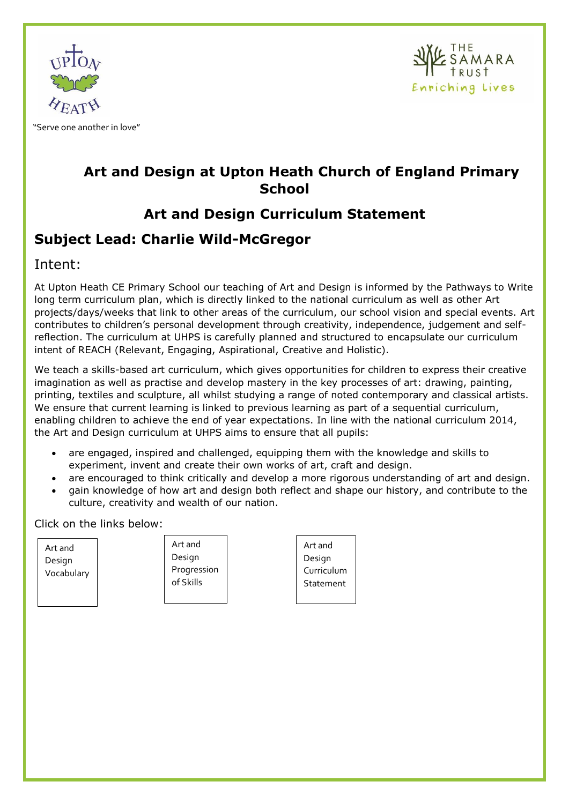



# **Art and Design at Upton Heath Church of England Primary School**

# **Art and Design Curriculum Statement**

# **Subject Lead: Charlie Wild-McGregor**

### Intent:

At Upton Heath CE Primary School our teaching of Art and Design is informed by the Pathways to Write long term curriculum plan, which is directly linked to the national curriculum as well as other Art projects/days/weeks that link to other areas of the curriculum, our school vision and special events. Art contributes to children's personal development through creativity, independence, judgement and selfreflection. The curriculum at UHPS is carefully planned and structured to encapsulate our curriculum intent of REACH (Relevant, Engaging, Aspirational, Creative and Holistic).

We teach a skills-based art curriculum, which gives opportunities for children to express their creative imagination as well as practise and develop mastery in the key processes of art: drawing, painting, printing, textiles and sculpture, all whilst studying a range of noted contemporary and classical artists. We ensure that current learning is linked to previous learning as part of a sequential curriculum, enabling children to achieve the end of year expectations. In line with the national curriculum 2014, the Art and Design curriculum at UHPS aims to ensure that all pupils:

- are engaged, inspired and challenged, equipping them with the knowledge and skills to experiment, invent and create their own works of art, craft and design.
- are encouraged to think critically and develop a more rigorous understanding of art and design.
- gain knowledge of how art and design both reflect and shape our history, and contribute to the culture, creativity and wealth of our nation.

Click on the links below:

Art and Design Vocabulary

Art and Design Progression of Skills

Art and Design Curriculum **Statement**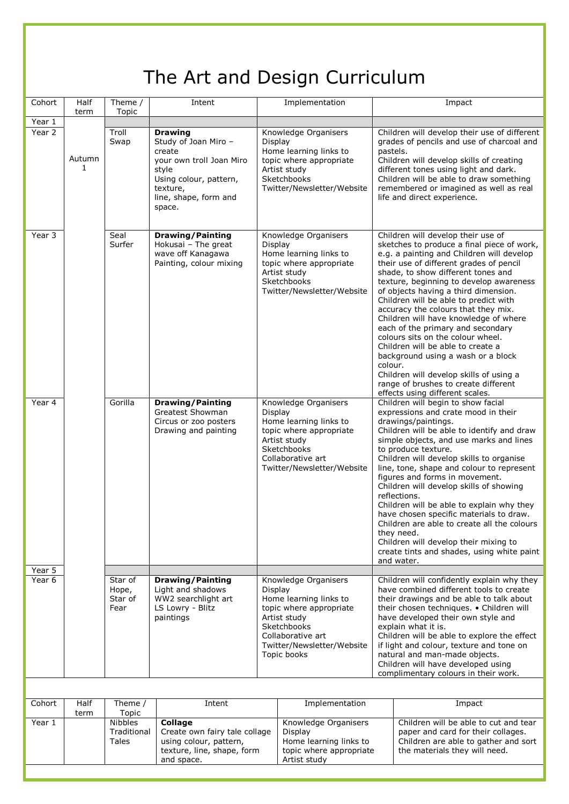|                  | The Art and Design Curriculum |                                     |                                                                                                                                                                |         |                                                                                                                                                                            |         |                                                                                                                                                                                                                                                                                                                                                                                                                                                                                                                                                                                                                                                                                                       |  |  |
|------------------|-------------------------------|-------------------------------------|----------------------------------------------------------------------------------------------------------------------------------------------------------------|---------|----------------------------------------------------------------------------------------------------------------------------------------------------------------------------|---------|-------------------------------------------------------------------------------------------------------------------------------------------------------------------------------------------------------------------------------------------------------------------------------------------------------------------------------------------------------------------------------------------------------------------------------------------------------------------------------------------------------------------------------------------------------------------------------------------------------------------------------------------------------------------------------------------------------|--|--|
| Cohort           | Half<br>term                  | Theme /<br>Topic                    | Intent                                                                                                                                                         |         | Implementation                                                                                                                                                             |         | Impact                                                                                                                                                                                                                                                                                                                                                                                                                                                                                                                                                                                                                                                                                                |  |  |
| Year 1<br>Year 2 | Autumn<br>$\mathbf{1}$        | Troll<br>Swap                       | <b>Drawing</b><br>Study of Joan Miro -<br>create<br>vour own troll Joan Miro<br>style<br>Using colour, pattern,<br>texture,<br>line, shape, form and<br>space. | Display | Knowledge Organisers<br>Home learning links to<br>topic where appropriate<br>Artist study<br>Sketchbooks<br>Twitter/Newsletter/Website                                     |         | Children will develop their use of different<br>grades of pencils and use of charcoal and<br>pastels.<br>Children will develop skills of creating<br>different tones using light and dark.<br>Children will be able to draw something<br>remembered or imagined as well as real<br>life and direct experience.                                                                                                                                                                                                                                                                                                                                                                                        |  |  |
| Year 3           |                               | Seal<br>Surfer                      | <b>Drawing/Painting</b><br>Hokusai - The great<br>wave off Kanagawa<br>Painting, colour mixing                                                                 | Display | Knowledge Organisers<br>Home learning links to<br>topic where appropriate<br>Artist study<br>Sketchbooks<br>Twitter/Newsletter/Website                                     | colour. | Children will develop their use of<br>sketches to produce a final piece of work,<br>e.g. a painting and Children will develop<br>their use of different grades of pencil<br>shade, to show different tones and<br>texture, beginning to develop awareness<br>of objects having a third dimension.<br>Children will be able to predict with<br>accuracy the colours that they mix.<br>Children will have knowledge of where<br>each of the primary and secondary<br>colours sits on the colour wheel.<br>Children will be able to create a<br>background using a wash or a block<br>Children will develop skills of using a<br>range of brushes to create different<br>effects using different scales. |  |  |
| Year 4           |                               | Gorilla                             | <b>Drawing/Painting</b><br>Greatest Showman<br>Circus or zoo posters<br>Drawing and painting                                                                   | Display | Knowledge Organisers<br>Home learning links to<br>topic where appropriate<br>Artist study<br>Sketchbooks<br>Collaborative art<br>Twitter/Newsletter/Website                |         | Children will begin to show facial<br>expressions and crate mood in their<br>drawings/paintings.<br>Children will be able to identify and draw<br>simple objects, and use marks and lines<br>to produce texture.<br>Children will develop skills to organise<br>line, tone, shape and colour to represent<br>figures and forms in movement.<br>Children will develop skills of showing<br>reflections.<br>Children will be able to explain why they<br>have chosen specific materials to draw.<br>Children are able to create all the colours<br>they need.<br>Children will develop their mixing to<br>create tints and shades, using white paint<br>and water.                                      |  |  |
| Year 5<br>Year 6 |                               | Star of<br>Hope,<br>Star of<br>Fear | <b>Drawing/Painting</b><br>Light and shadows<br>WW2 searchlight art<br>LS Lowry - Blitz<br>paintings                                                           | Display | Knowledge Organisers<br>Home learning links to<br>topic where appropriate<br>Artist study<br>Sketchbooks<br>Collaborative art<br>Twitter/Newsletter/Website<br>Topic books |         | Children will confidently explain why they<br>have combined different tools to create<br>their drawings and be able to talk about<br>their chosen techniques. . Children will<br>have developed their own style and<br>explain what it is.<br>Children will be able to explore the effect<br>if light and colour, texture and tone on<br>natural and man-made objects.<br>Children will have developed using<br>complimentary colours in their work.                                                                                                                                                                                                                                                  |  |  |
|                  |                               |                                     |                                                                                                                                                                |         |                                                                                                                                                                            |         |                                                                                                                                                                                                                                                                                                                                                                                                                                                                                                                                                                                                                                                                                                       |  |  |
| Cohort           | Half                          | Theme /<br>$T_{\alpha}$             | Intent                                                                                                                                                         |         | Implementation                                                                                                                                                             |         | Impact                                                                                                                                                                                                                                                                                                                                                                                                                                                                                                                                                                                                                                                                                                |  |  |

| Cohort | Half | Theme /                                | Intent                                                                                                                | Implementation                                                                                       | Impact                                                                                                                                               |
|--------|------|----------------------------------------|-----------------------------------------------------------------------------------------------------------------------|------------------------------------------------------------------------------------------------------|------------------------------------------------------------------------------------------------------------------------------------------------------|
|        | term | Topic                                  |                                                                                                                       |                                                                                                      |                                                                                                                                                      |
| Year 1 |      | <b>Nibbles</b><br>Traditional<br>Tales | <b>Collage</b><br>Create own fairy tale collage<br>using colour, pattern,<br>texture, line, shape, form<br>and space. | Knowledge Organisers<br>Display<br>Home learning links to<br>topic where appropriate<br>Artist study | Children will be able to cut and tear<br>paper and card for their collages.<br>Children are able to gather and sort<br>the materials they will need. |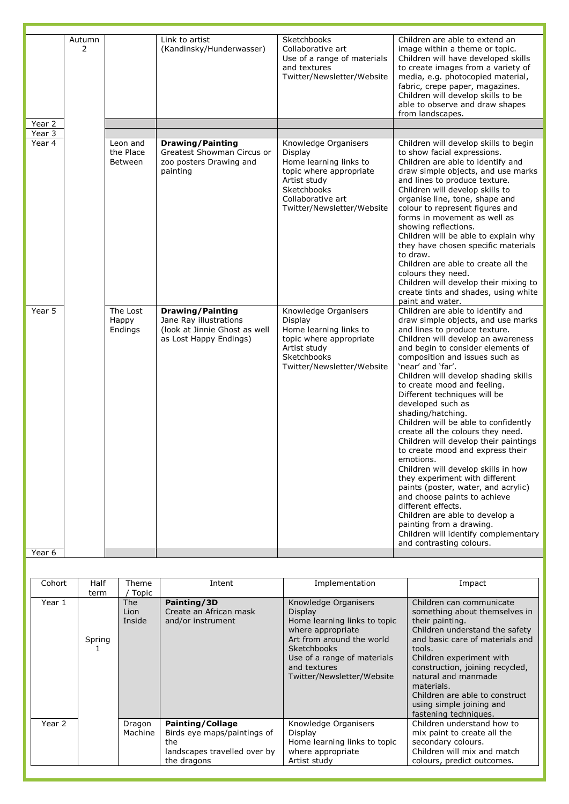|                    | Autumn<br>2 |                                  | Link to artist<br>(Kandinsky/Hunderwasser)                                                                   | Sketchbooks<br>Collaborative art<br>Use of a range of materials<br>and textures<br>Twitter/Newsletter/Website                                                          | Children are able to extend an<br>image within a theme or topic.<br>Children will have developed skills<br>to create images from a variety of<br>media, e.g. photocopied material,<br>fabric, crepe paper, magazines.<br>Children will develop skills to be<br>able to observe and draw shapes<br>from landscapes.                                                                                                                                                                                                                                                                                                                                                                                                                                                                                                                                                         |
|--------------------|-------------|----------------------------------|--------------------------------------------------------------------------------------------------------------|------------------------------------------------------------------------------------------------------------------------------------------------------------------------|----------------------------------------------------------------------------------------------------------------------------------------------------------------------------------------------------------------------------------------------------------------------------------------------------------------------------------------------------------------------------------------------------------------------------------------------------------------------------------------------------------------------------------------------------------------------------------------------------------------------------------------------------------------------------------------------------------------------------------------------------------------------------------------------------------------------------------------------------------------------------|
| Year 2<br>$Year$ 3 |             |                                  |                                                                                                              |                                                                                                                                                                        |                                                                                                                                                                                                                                                                                                                                                                                                                                                                                                                                                                                                                                                                                                                                                                                                                                                                            |
| Year 4             |             | Leon and<br>the Place<br>Between | <b>Drawing/Painting</b><br>Greatest Showman Circus or<br>zoo posters Drawing and<br>painting                 | Knowledge Organisers<br>Display<br>Home learning links to<br>topic where appropriate<br>Artist study<br>Sketchbooks<br>Collaborative art<br>Twitter/Newsletter/Website | Children will develop skills to begin<br>to show facial expressions.<br>Children are able to identify and<br>draw simple objects, and use marks<br>and lines to produce texture.<br>Children will develop skills to<br>organise line, tone, shape and<br>colour to represent figures and<br>forms in movement as well as<br>showing reflections.<br>Children will be able to explain why<br>they have chosen specific materials<br>to draw.<br>Children are able to create all the<br>colours they need.<br>Children will develop their mixing to<br>create tints and shades, using white<br>paint and water.                                                                                                                                                                                                                                                              |
| Year 5             |             | The Lost<br>Happy<br>Endings     | <b>Drawing/Painting</b><br>Jane Ray illustrations<br>(look at Jinnie Ghost as well<br>as Lost Happy Endings) | Knowledge Organisers<br>Display<br>Home learning links to<br>topic where appropriate<br>Artist study<br>Sketchbooks<br>Twitter/Newsletter/Website                      | Children are able to identify and<br>draw simple objects, and use marks<br>and lines to produce texture.<br>Children will develop an awareness<br>and begin to consider elements of<br>composition and issues such as<br>'near' and 'far'.<br>Children will develop shading skills<br>to create mood and feeling.<br>Different techniques will be<br>developed such as<br>shading/hatching.<br>Children will be able to confidently<br>create all the colours they need.<br>Children will develop their paintings<br>to create mood and express their<br>emotions.<br>Children will develop skills in how<br>they experiment with different<br>paints (poster, water, and acrylic)<br>and choose paints to achieve<br>different effects.<br>Children are able to develop a<br>painting from a drawing.<br>Children will identify complementary<br>and contrasting colours. |
| Year 6             |             |                                  |                                                                                                              |                                                                                                                                                                        |                                                                                                                                                                                                                                                                                                                                                                                                                                                                                                                                                                                                                                                                                                                                                                                                                                                                            |

| Cohort | Half<br>term | Theme<br>Topic               | Intent                                                                                                       | Implementation                                                                                                                                                                                                              | Impact                                                                                                                                                                                                                                                                                                                                                 |
|--------|--------------|------------------------------|--------------------------------------------------------------------------------------------------------------|-----------------------------------------------------------------------------------------------------------------------------------------------------------------------------------------------------------------------------|--------------------------------------------------------------------------------------------------------------------------------------------------------------------------------------------------------------------------------------------------------------------------------------------------------------------------------------------------------|
| Year 1 | Spring       | <b>The</b><br>Lion<br>Inside | Painting/3D<br>Create an African mask<br>and/or instrument                                                   | Knowledge Organisers<br><b>Display</b><br>Home learning links to topic<br>where appropriate<br>Art from around the world<br><b>Sketchbooks</b><br>Use of a range of materials<br>and textures<br>Twitter/Newsletter/Website | Children can communicate<br>something about themselves in<br>their painting.<br>Children understand the safety<br>and basic care of materials and<br>tools.<br>Children experiment with<br>construction, joining recycled,<br>natural and manmade<br>materials.<br>Children are able to construct<br>using simple joining and<br>fastening techniques. |
| Year 2 |              | Dragon<br>Machine            | <b>Painting/Collage</b><br>Birds eye maps/paintings of<br>the<br>landscapes travelled over by<br>the dragons | Knowledge Organisers<br>Display<br>Home learning links to topic<br>where appropriate<br>Artist study                                                                                                                        | Children understand how to<br>mix paint to create all the<br>secondary colours.<br>Children will mix and match<br>colours, predict outcomes.                                                                                                                                                                                                           |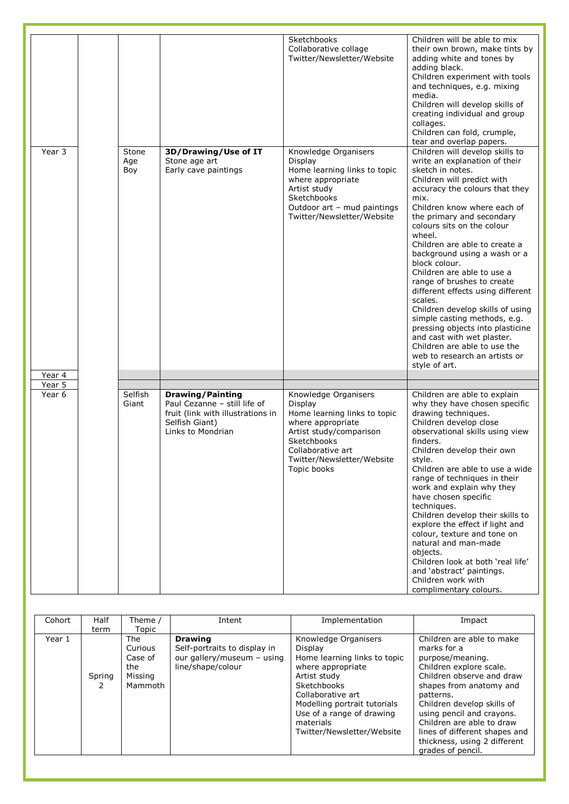|        |                     |                                                                                                                                     | Sketchbooks<br>Collaborative collage<br>Twitter/Newsletter/Website                                                                                                                               | Children will be able to mix<br>their own brown, make tints by<br>adding white and tones by<br>adding black.<br>Children experiment with tools<br>and techniques, e.g. mixing<br>media.<br>Children will develop skills of<br>creating individual and group<br>collages.<br>Children can fold, crumple,<br>tear and overlap papers.                                                                                                                                                                                                                                                                                                                                                    |
|--------|---------------------|-------------------------------------------------------------------------------------------------------------------------------------|--------------------------------------------------------------------------------------------------------------------------------------------------------------------------------------------------|----------------------------------------------------------------------------------------------------------------------------------------------------------------------------------------------------------------------------------------------------------------------------------------------------------------------------------------------------------------------------------------------------------------------------------------------------------------------------------------------------------------------------------------------------------------------------------------------------------------------------------------------------------------------------------------|
| Year 3 | Stone<br>Age<br>Boy | 3D/Drawing/Use of IT<br>Stone age art<br>Early cave paintings                                                                       | Knowledge Organisers<br>Display<br>Home learning links to topic<br>where appropriate<br>Artist study<br>Sketchbooks<br>Outdoor art - mud paintings<br>Twitter/Newsletter/Website                 | Children will develop skills to<br>write an explanation of their<br>sketch in notes.<br>Children will predict with<br>accuracy the colours that they<br>mix.<br>Children know where each of<br>the primary and secondary<br>colours sits on the colour<br>wheel.<br>Children are able to create a<br>background using a wash or a<br>block colour.<br>Children are able to use a<br>range of brushes to create<br>different effects using different<br>scales.<br>Children develop skills of using<br>simple casting methods, e.g.<br>pressing objects into plasticine<br>and cast with wet plaster.<br>Children are able to use the<br>web to research an artists or<br>style of art. |
| Year 4 |                     |                                                                                                                                     |                                                                                                                                                                                                  |                                                                                                                                                                                                                                                                                                                                                                                                                                                                                                                                                                                                                                                                                        |
| Year 5 |                     |                                                                                                                                     |                                                                                                                                                                                                  |                                                                                                                                                                                                                                                                                                                                                                                                                                                                                                                                                                                                                                                                                        |
| Year 6 | Selfish<br>Giant    | <b>Drawing/Painting</b><br>Paul Cezanne - still life of<br>fruit (link with illustrations in<br>Selfish Giant)<br>Links to Mondrian | Knowledge Organisers<br>Display<br>Home learning links to topic<br>where appropriate<br>Artist study/comparison<br>Sketchbooks<br>Collaborative art<br>Twitter/Newsletter/Website<br>Topic books | Children are able to explain<br>why they have chosen specific<br>drawing techniques.<br>Children develop close<br>observational skills using view<br>finders.<br>Children develop their own<br>style.<br>Children are able to use a wide<br>range of techniques in their<br>work and explain why they<br>have chosen specific<br>techniques.<br>Children develop their skills to<br>explore the effect if light and<br>colour, texture and tone on<br>natural and man-made<br>objects.<br>Children look at both 'real life'<br>and 'abstract' paintings.<br>Children work with<br>complimentary colours.                                                                               |

| Cohort | Half<br>term | Theme /<br>Topic                                              | Intent                                                                                            | Implementation                                                                                                                                                                                                                                   | Impact                                                                                                                                                                                                                                                                                                                                     |
|--------|--------------|---------------------------------------------------------------|---------------------------------------------------------------------------------------------------|--------------------------------------------------------------------------------------------------------------------------------------------------------------------------------------------------------------------------------------------------|--------------------------------------------------------------------------------------------------------------------------------------------------------------------------------------------------------------------------------------------------------------------------------------------------------------------------------------------|
| Year 1 | Spring<br>2  | <b>The</b><br>Curious<br>Case of<br>the<br>Missing<br>Mammoth | <b>Drawing</b><br>Self-portraits to display in<br>our gallery/museum - using<br>line/shape/colour | Knowledge Organisers<br>Display<br>Home learning links to topic<br>where appropriate<br>Artist study<br>Sketchbooks<br>Collaborative art<br>Modelling portrait tutorials<br>Use of a range of drawing<br>materials<br>Twitter/Newsletter/Website | Children are able to make<br>marks for a<br>purpose/meaning.<br>Children explore scale.<br>Children observe and draw<br>shapes from anatomy and<br>patterns.<br>Children develop skills of<br>using pencil and crayons.<br>Children are able to draw<br>lines of different shapes and<br>thickness, using 2 different<br>grades of pencil. |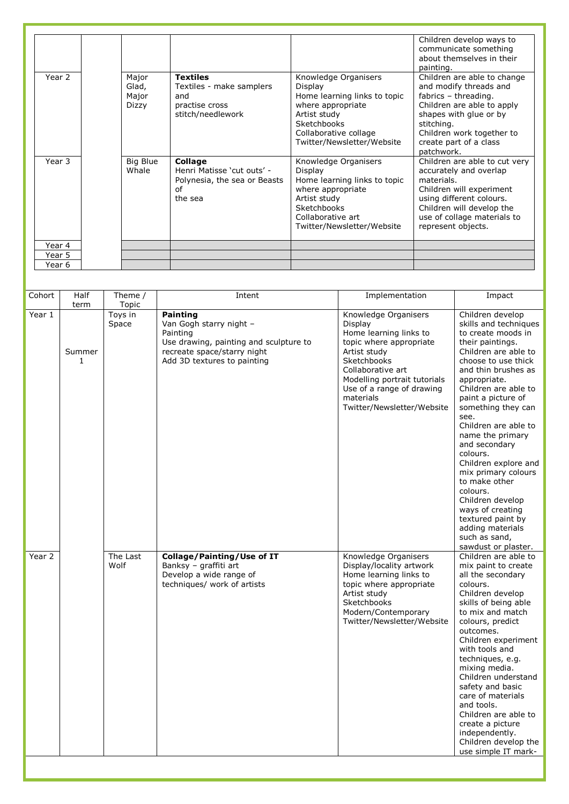|        |          |                              |                              | Children develop ways to      |
|--------|----------|------------------------------|------------------------------|-------------------------------|
|        |          |                              |                              | communicate something         |
|        |          |                              |                              | about themselves in their     |
|        |          |                              |                              | painting.                     |
| Year 2 | Major    | <b>Textiles</b>              | Knowledge Organisers         | Children are able to change   |
|        | Glad,    | Textiles - make samplers     | Display                      | and modify threads and        |
|        | Major    | and                          | Home learning links to topic | fabrics - threading.          |
|        | Dizzy    | practise cross               | where appropriate            | Children are able to apply    |
|        |          | stitch/needlework            | Artist study                 | shapes with glue or by        |
|        |          |                              | Sketchbooks                  | stitching.                    |
|        |          |                              | Collaborative collage        | Children work together to     |
|        |          |                              | Twitter/Newsletter/Website   | create part of a class        |
|        |          |                              |                              | patchwork.                    |
| Year 3 | Big Blue | Collage                      | Knowledge Organisers         | Children are able to cut very |
|        | Whale    | Henri Matisse 'cut outs' -   | Display                      | accurately and overlap        |
|        |          | Polynesia, the sea or Beasts | Home learning links to topic | materials.                    |
|        |          | of                           | where appropriate            | Children will experiment      |
|        |          | the sea                      | Artist study                 | using different colours.      |
|        |          |                              | <b>Sketchbooks</b>           | Children will develop the     |
|        |          |                              | Collaborative art            | use of collage materials to   |
|        |          |                              | Twitter/Newsletter/Website   | represent objects.            |
|        |          |                              |                              |                               |
| Year 4 |          |                              |                              |                               |
| Year 5 |          |                              |                              |                               |
| Year 6 |          |                              |                              |                               |

| Cohort               | Half                   | Theme /                   | Intent                                                                                                        | Implementation                                                                                                                                                                            | Impact                                                                                                                                                                                                                                                                                                                                                                                                                                                           |
|----------------------|------------------------|---------------------------|---------------------------------------------------------------------------------------------------------------|-------------------------------------------------------------------------------------------------------------------------------------------------------------------------------------------|------------------------------------------------------------------------------------------------------------------------------------------------------------------------------------------------------------------------------------------------------------------------------------------------------------------------------------------------------------------------------------------------------------------------------------------------------------------|
| $\overline{Y}$ ear 1 | term                   | Topic<br>Toys in<br>Space | Painting<br>Van Gogh starry night -<br>Painting                                                               | Knowledge Organisers<br>Display<br>Home learning links to                                                                                                                                 | Children develop<br>skills and techniques<br>to create moods in                                                                                                                                                                                                                                                                                                                                                                                                  |
|                      | Summer<br>$\mathbf{1}$ |                           | Use drawing, painting and sculpture to<br>recreate space/starry night<br>Add 3D textures to painting          | topic where appropriate<br>Artist study<br>Sketchbooks<br>Collaborative art<br>Modelling portrait tutorials<br>Use of a range of drawing<br>materials<br>Twitter/Newsletter/Website       | their paintings.<br>Children are able to<br>choose to use thick<br>and thin brushes as<br>appropriate.<br>Children are able to<br>paint a picture of<br>something they can<br>see.<br>Children are able to<br>name the primary<br>and secondary<br>colours.<br>Children explore and<br>mix primary colours<br>to make other<br>colours.<br>Children develop<br>ways of creating<br>textured paint by<br>adding materials<br>such as sand,<br>sawdust or plaster. |
| Year 2               |                        | The Last<br>Wolf          | Collage/Painting/Use of IT<br>Banksy - graffiti art<br>Develop a wide range of<br>techniques/ work of artists | Knowledge Organisers<br>Display/locality artwork<br>Home learning links to<br>topic where appropriate<br>Artist study<br>Sketchbooks<br>Modern/Contemporary<br>Twitter/Newsletter/Website | Children are able to<br>mix paint to create<br>all the secondary<br>colours.<br>Children develop<br>skills of being able<br>to mix and match<br>colours, predict<br>outcomes.<br>Children experiment<br>with tools and<br>techniques, e.g.<br>mixing media.<br>Children understand<br>safety and basic<br>care of materials<br>and tools.<br>Children are able to<br>create a picture<br>independently.<br>Children develop the<br>use simple IT mark-           |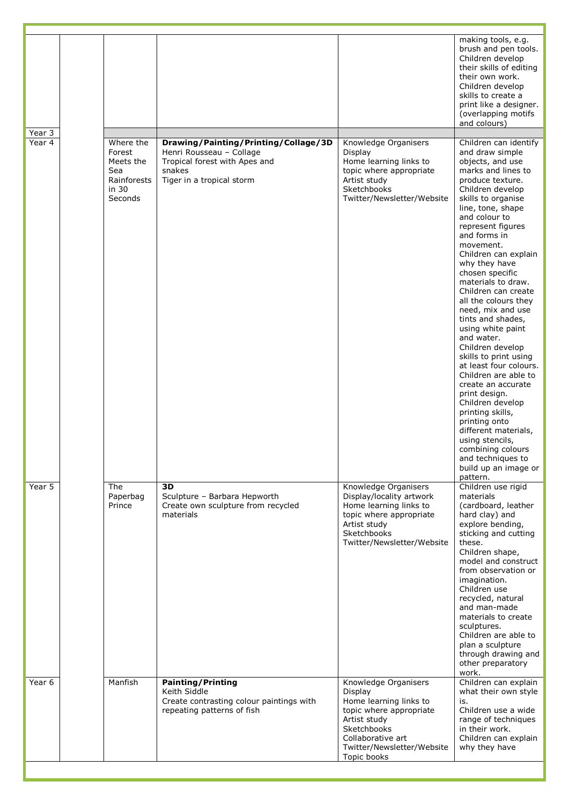| Year 3 |                                                                            |                                                                                                                                          |                                                                                                                                                                                       | making tools, e.g.<br>brush and pen tools.<br>Children develop<br>their skills of editing<br>their own work.<br>Children develop<br>skills to create a<br>print like a designer.<br>(overlapping motifs<br>and colours)                                                                                                                                                                                                                                                                                                                                                                                                                                                                                                                                                        |
|--------|----------------------------------------------------------------------------|------------------------------------------------------------------------------------------------------------------------------------------|---------------------------------------------------------------------------------------------------------------------------------------------------------------------------------------|--------------------------------------------------------------------------------------------------------------------------------------------------------------------------------------------------------------------------------------------------------------------------------------------------------------------------------------------------------------------------------------------------------------------------------------------------------------------------------------------------------------------------------------------------------------------------------------------------------------------------------------------------------------------------------------------------------------------------------------------------------------------------------|
| Year 4 | Where the<br>Forest<br>Meets the<br>Sea<br>Rainforests<br>in 30<br>Seconds | Drawing/Painting/Printing/Collage/3D<br>Henri Rousseau - Collage<br>Tropical forest with Apes and<br>snakes<br>Tiger in a tropical storm | Knowledge Organisers<br>Display<br>Home learning links to<br>topic where appropriate<br>Artist study<br>Sketchbooks<br>Twitter/Newsletter/Website                                     | Children can identify<br>and draw simple<br>objects, and use<br>marks and lines to<br>produce texture.<br>Children develop<br>skills to organise<br>line, tone, shape<br>and colour to<br>represent figures<br>and forms in<br>movement.<br>Children can explain<br>why they have<br>chosen specific<br>materials to draw.<br>Children can create<br>all the colours they<br>need, mix and use<br>tints and shades,<br>using white paint<br>and water.<br>Children develop<br>skills to print using<br>at least four colours.<br>Children are able to<br>create an accurate<br>print design.<br>Children develop<br>printing skills,<br>printing onto<br>different materials,<br>using stencils,<br>combining colours<br>and techniques to<br>build up an image or<br>pattern. |
| Year 5 | The<br>Paperbag<br>Prince                                                  | 3D<br>Sculpture - Barbara Hepworth<br>Create own sculpture from recycled<br>materials                                                    | Knowledge Organisers<br>Display/locality artwork<br>Home learning links to<br>topic where appropriate<br>Artist study<br>Sketchbooks<br>Twitter/Newsletter/Website                    | Children use rigid<br>materials<br>(cardboard, leather<br>hard clay) and<br>explore bending,<br>sticking and cutting<br>these.<br>Children shape,<br>model and construct<br>from observation or<br>imagination.<br>Children use<br>recycled, natural<br>and man-made<br>materials to create<br>sculptures.<br>Children are able to<br>plan a sculpture<br>through drawing and<br>other preparatory<br>work.                                                                                                                                                                                                                                                                                                                                                                    |
| Year 6 | Manfish                                                                    | <b>Painting/Printing</b><br>Keith Siddle<br>Create contrasting colour paintings with<br>repeating patterns of fish                       | Knowledge Organisers<br>Display<br>Home learning links to<br>topic where appropriate<br>Artist study<br>Sketchbooks<br>Collaborative art<br>Twitter/Newsletter/Website<br>Topic books | Children can explain<br>what their own style<br>is.<br>Children use a wide<br>range of techniques<br>in their work.<br>Children can explain<br>why they have                                                                                                                                                                                                                                                                                                                                                                                                                                                                                                                                                                                                                   |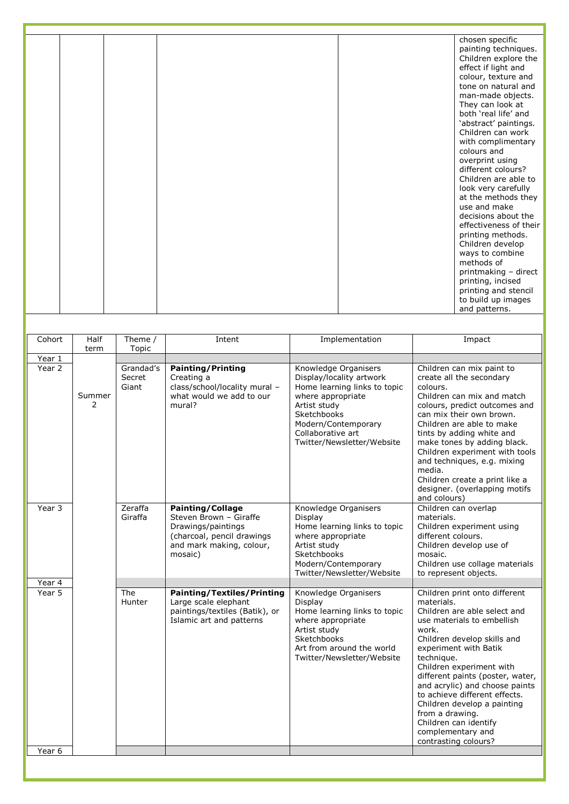|  |  | chosen specific<br>painting techniques.<br>Children explore the<br>effect if light and<br>colour, texture and<br>tone on natural and<br>man-made objects.<br>They can look at<br>both 'real life' and<br>'abstract' paintings.<br>Children can work<br>with complimentary<br>colours and<br>overprint using<br>different colours?<br>Children are able to<br>look very carefully<br>at the methods they<br>use and make<br>decisions about the<br>effectiveness of their<br>printing methods.<br>Children develop<br>ways to combine<br>methods of |
|--|--|----------------------------------------------------------------------------------------------------------------------------------------------------------------------------------------------------------------------------------------------------------------------------------------------------------------------------------------------------------------------------------------------------------------------------------------------------------------------------------------------------------------------------------------------------|
|  |  | printmaking - direct<br>printing, incised<br>printing and stencil<br>to build up images<br>and patterns.                                                                                                                                                                                                                                                                                                                                                                                                                                           |

| Cohort           | Half        | Theme /                      | Intent                                                                                                                                       | Implementation                                                                                                                                                                                                 | Impact                                                                                                                                                                                                                                                                                                                                                                                                                                              |
|------------------|-------------|------------------------------|----------------------------------------------------------------------------------------------------------------------------------------------|----------------------------------------------------------------------------------------------------------------------------------------------------------------------------------------------------------------|-----------------------------------------------------------------------------------------------------------------------------------------------------------------------------------------------------------------------------------------------------------------------------------------------------------------------------------------------------------------------------------------------------------------------------------------------------|
|                  | term        | Topic                        |                                                                                                                                              |                                                                                                                                                                                                                |                                                                                                                                                                                                                                                                                                                                                                                                                                                     |
| Year 1<br>Year 2 | Summer<br>2 | Grandad's<br>Secret<br>Giant | <b>Painting/Printing</b><br>Creating a<br>class/school/locality mural -<br>what would we add to our<br>mural?                                | Knowledge Organisers<br>Display/locality artwork<br>Home learning links to topic<br>where appropriate<br>Artist study<br>Sketchbooks<br>Modern/Contemporary<br>Collaborative art<br>Twitter/Newsletter/Website | Children can mix paint to<br>create all the secondary<br>colours.<br>Children can mix and match<br>colours, predict outcomes and<br>can mix their own brown.<br>Children are able to make<br>tints by adding white and<br>make tones by adding black.<br>Children experiment with tools<br>and techniques, e.g. mixing<br>media.<br>Children create a print like a<br>designer. (overlapping motifs<br>and colours)                                 |
| Year 3           |             | Zeraffa<br>Giraffa           | <b>Painting/Collage</b><br>Steven Brown - Giraffe<br>Drawings/paintings<br>(charcoal, pencil drawings<br>and mark making, colour,<br>mosaic) | Knowledge Organisers<br>Display<br>Home learning links to topic<br>where appropriate<br>Artist study<br>Sketchbooks<br>Modern/Contemporary<br>Twitter/Newsletter/Website                                       | Children can overlap<br>materials.<br>Children experiment using<br>different colours.<br>Children develop use of<br>mosaic.<br>Children use collage materials<br>to represent objects.                                                                                                                                                                                                                                                              |
| Year 4           |             |                              |                                                                                                                                              |                                                                                                                                                                                                                |                                                                                                                                                                                                                                                                                                                                                                                                                                                     |
| Year 5           |             | The<br>Hunter                | <b>Painting/Textiles/Printing</b><br>Large scale elephant<br>paintings/textiles (Batik), or<br>Islamic art and patterns                      | Knowledge Organisers<br>Display<br>Home learning links to topic<br>where appropriate<br>Artist study<br>Sketchbooks<br>Art from around the world<br>Twitter/Newsletter/Website                                 | Children print onto different<br>materials.<br>Children are able select and<br>use materials to embellish<br>work.<br>Children develop skills and<br>experiment with Batik<br>technique.<br>Children experiment with<br>different paints (poster, water,<br>and acrylic) and choose paints<br>to achieve different effects.<br>Children develop a painting<br>from a drawing.<br>Children can identify<br>complementary and<br>contrasting colours? |
| Year 6           |             |                              |                                                                                                                                              |                                                                                                                                                                                                                |                                                                                                                                                                                                                                                                                                                                                                                                                                                     |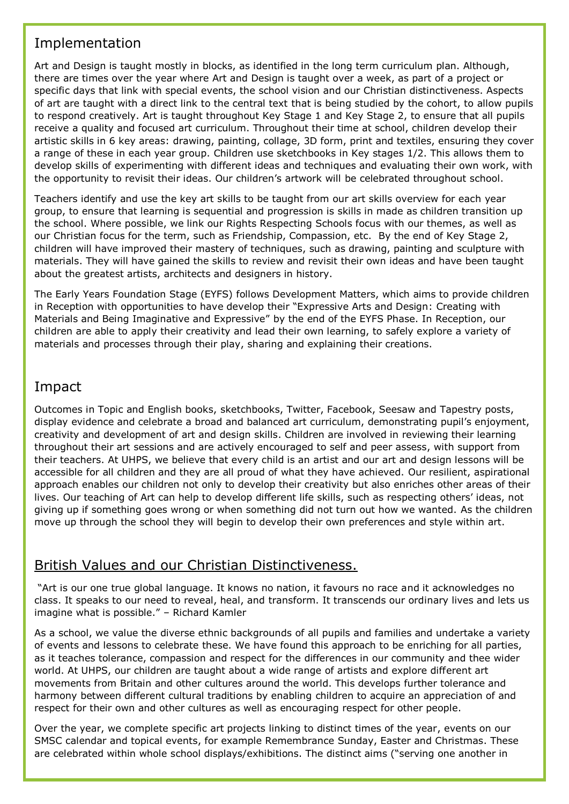# Implementation

Art and Design is taught mostly in blocks, as identified in the long term curriculum plan. Although, there are times over the year where Art and Design is taught over a week, as part of a project or specific days that link with special events, the school vision and our Christian distinctiveness. Aspects of art are taught with a direct link to the central text that is being studied by the cohort, to allow pupils to respond creatively. Art is taught throughout Key Stage 1 and Key Stage 2, to ensure that all pupils receive a quality and focused art curriculum. Throughout their time at school, children develop their artistic skills in 6 key areas: drawing, painting, collage, 3D form, print and textiles, ensuring they cover a range of these in each year group. Children use sketchbooks in Key stages 1/2. This allows them to develop skills of experimenting with different ideas and techniques and evaluating their own work, with the opportunity to revisit their ideas. Our children's artwork will be celebrated throughout school.

Teachers identify and use the key art skills to be taught from our art skills overview for each year group, to ensure that learning is sequential and progression is skills in made as children transition up the school. Where possible, we link our Rights Respecting Schools focus with our themes, as well as our Christian focus for the term, such as Friendship, Compassion, etc. By the end of Key Stage 2, children will have improved their mastery of techniques, such as drawing, painting and sculpture with materials. They will have gained the skills to review and revisit their own ideas and have been taught about the greatest artists, architects and designers in history.

The Early Years Foundation Stage (EYFS) follows Development Matters, which aims to provide children in Reception with opportunities to have develop their "Expressive Arts and Design: Creating with Materials and Being Imaginative and Expressive" by the end of the EYFS Phase. In Reception, our children are able to apply their creativity and lead their own learning, to safely explore a variety of materials and processes through their play, sharing and explaining their creations.

### Impact

Outcomes in Topic and English books, sketchbooks, Twitter, Facebook, Seesaw and Tapestry posts, display evidence and celebrate a broad and balanced art curriculum, demonstrating pupil's enjoyment, creativity and development of art and design skills. Children are involved in reviewing their learning throughout their art sessions and are actively encouraged to self and peer assess, with support from their teachers. At UHPS, we believe that every child is an artist and our art and design lessons will be accessible for all children and they are all proud of what they have achieved. Our resilient, aspirational approach enables our children not only to develop their creativity but also enriches other areas of their lives. Our teaching of Art can help to develop different life skills, such as respecting others' ideas, not giving up if something goes wrong or when something did not turn out how we wanted. As the children move up through the school they will begin to develop their own preferences and style within art.

### British Values and our Christian Distinctiveness.

"Art is our one true global language. It knows no nation, it favours no race and it acknowledges no class. It speaks to our need to reveal, heal, and transform. It transcends our ordinary lives and lets us imagine what is possible." – Richard Kamler

As a school, we value the diverse ethnic backgrounds of all pupils and families and undertake a variety of events and lessons to celebrate these. We have found this approach to be enriching for all parties, as it teaches tolerance, compassion and respect for the differences in our community and thee wider world. At UHPS, our children are taught about a wide range of artists and explore different art movements from Britain and other cultures around the world. This develops further tolerance and harmony between different cultural traditions by enabling children to acquire an appreciation of and respect for their own and other cultures as well as encouraging respect for other people.

Over the year, we complete specific art projects linking to distinct times of the year, events on our SMSC calendar and topical events, for example Remembrance Sunday, Easter and Christmas. These are celebrated within whole school displays/exhibitions. The distinct aims ("serving one another in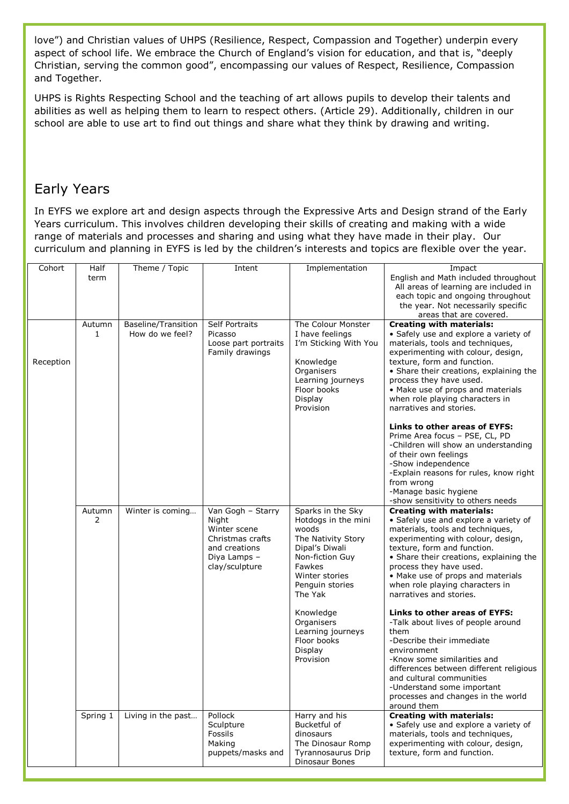love") and Christian values of UHPS (Resilience, Respect, Compassion and Together) underpin every aspect of school life. We embrace the Church of England's vision for education, and that is, "deeply Christian, serving the common good", encompassing our values of Respect, Resilience, Compassion and Together.

UHPS is Rights Respecting School and the teaching of art allows pupils to develop their talents and abilities as well as helping them to learn to respect others. (Article 29). Additionally, children in our school are able to use art to find out things and share what they think by drawing and writing.

# Early Years

In EYFS we explore art and design aspects through the Expressive Arts and Design strand of the Early Years curriculum. This involves children developing their skills of creating and making with a wide range of materials and processes and sharing and using what they have made in their play. Our curriculum and planning in EYFS is led by the children's interests and topics are flexible over the year.

| Cohort    | Half<br>term | Theme / Topic                          | Intent                                                                                                            | Implementation                                                                                                                                                         | Impact<br>English and Math included throughout<br>All areas of learning are included in<br>each topic and ongoing throughout<br>the year. Not necessarily specific<br>areas that are covered.                                                                                                                                                              |
|-----------|--------------|----------------------------------------|-------------------------------------------------------------------------------------------------------------------|------------------------------------------------------------------------------------------------------------------------------------------------------------------------|------------------------------------------------------------------------------------------------------------------------------------------------------------------------------------------------------------------------------------------------------------------------------------------------------------------------------------------------------------|
| Reception | Autumn<br>1  | Baseline/Transition<br>How do we feel? | Self Portraits<br>Picasso<br>Loose part portraits<br>Family drawings                                              | The Colour Monster<br>I have feelings<br>I'm Sticking With You<br>Knowledge<br>Organisers<br>Learning journeys<br>Floor books<br>Display<br>Provision                  | <b>Creating with materials:</b><br>• Safely use and explore a variety of<br>materials, tools and techniques,<br>experimenting with colour, design,<br>texture, form and function.<br>• Share their creations, explaining the<br>process they have used.<br>• Make use of props and materials<br>when role playing characters in<br>narratives and stories. |
|           |              |                                        |                                                                                                                   |                                                                                                                                                                        | Links to other areas of EYFS:<br>Prime Area focus - PSE, CL, PD<br>-Children will show an understanding<br>of their own feelings<br>-Show independence<br>-Explain reasons for rules, know right<br>from wrong<br>-Manage basic hygiene<br>-show sensitivity to others needs                                                                               |
|           | Autumn<br>2  | Winter is coming                       | Van Gogh - Starry<br>Night<br>Winter scene<br>Christmas crafts<br>and creations<br>Diya Lamps -<br>clay/sculpture | Sparks in the Sky<br>Hotdogs in the mini<br>woods<br>The Nativity Story<br>Dipal's Diwali<br>Non-fiction Guy<br>Fawkes<br>Winter stories<br>Penguin stories<br>The Yak | <b>Creating with materials:</b><br>• Safely use and explore a variety of<br>materials, tools and techniques,<br>experimenting with colour, design,<br>texture, form and function.<br>• Share their creations, explaining the<br>process they have used.<br>• Make use of props and materials<br>when role playing characters in<br>narratives and stories. |
|           |              |                                        |                                                                                                                   | Knowledge<br>Organisers<br>Learning journeys<br>Floor books<br>Display<br>Provision                                                                                    | Links to other areas of EYFS:<br>-Talk about lives of people around<br>them<br>-Describe their immediate<br>environment<br>-Know some similarities and<br>differences between different religious<br>and cultural communities<br>-Understand some important<br>processes and changes in the world<br>around them                                           |
|           | Spring 1     | Living in the past                     | Pollock<br>Sculpture<br>Fossils<br>Making<br>puppets/masks and                                                    | Harry and his<br>Bucketful of<br>dinosaurs<br>The Dinosaur Romp<br>Tyrannosaurus Drip<br>Dinosaur Bones                                                                | <b>Creating with materials:</b><br>• Safely use and explore a variety of<br>materials, tools and techniques,<br>experimenting with colour, design,<br>texture, form and function.                                                                                                                                                                          |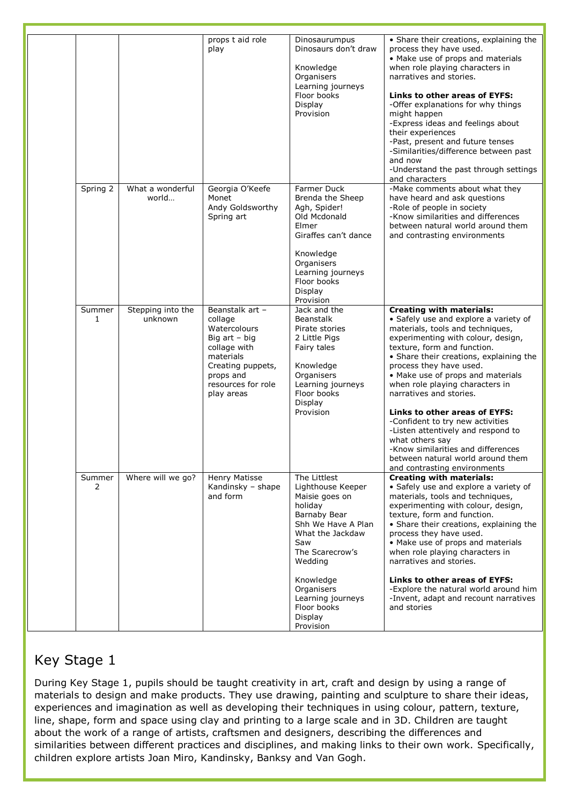|             |                              | props t aid role<br>play                                                                                                                                         | Dinosaurumpus<br>Dinosaurs don't draw<br>Knowledge<br>Organisers<br>Learning journeys<br>Floor books<br>Display<br>Provision                                                                                                                         | • Share their creations, explaining the<br>process they have used.<br>• Make use of props and materials<br>when role playing characters in<br>narratives and stories.<br>Links to other areas of EYFS:<br>-Offer explanations for why things<br>might happen<br>-Express ideas and feelings about<br>their experiences<br>-Past, present and future tenses<br>-Similarities/difference between past<br>and now<br>-Understand the past through settings<br>and characters                                                                                                                           |
|-------------|------------------------------|------------------------------------------------------------------------------------------------------------------------------------------------------------------|------------------------------------------------------------------------------------------------------------------------------------------------------------------------------------------------------------------------------------------------------|-----------------------------------------------------------------------------------------------------------------------------------------------------------------------------------------------------------------------------------------------------------------------------------------------------------------------------------------------------------------------------------------------------------------------------------------------------------------------------------------------------------------------------------------------------------------------------------------------------|
| Spring 2    | What a wonderful<br>world    | Georgia O'Keefe<br>Monet<br>Andy Goldsworthy<br>Spring art                                                                                                       | Farmer Duck<br>Brenda the Sheep<br>Agh, Spider!<br>Old Mcdonald<br>Elmer<br>Giraffes can't dance<br>Knowledge<br>Organisers<br>Learning journeys<br>Floor books<br>Display<br>Provision                                                              | -Make comments about what they<br>have heard and ask questions<br>-Role of people in society<br>-Know similarities and differences<br>between natural world around them<br>and contrasting environments                                                                                                                                                                                                                                                                                                                                                                                             |
| Summer<br>1 | Stepping into the<br>unknown | Beanstalk art -<br>collage<br>Watercolours<br>Big $art - big$<br>collage with<br>materials<br>Creating puppets,<br>props and<br>resources for role<br>play areas | Jack and the<br><b>Beanstalk</b><br>Pirate stories<br>2 Little Pigs<br>Fairy tales<br>Knowledge<br>Organisers<br>Learning journeys<br>Floor books<br>Display<br>Provision                                                                            | <b>Creating with materials:</b><br>• Safely use and explore a variety of<br>materials, tools and techniques,<br>experimenting with colour, design,<br>texture, form and function.<br>• Share their creations, explaining the<br>process they have used.<br>• Make use of props and materials<br>when role playing characters in<br>narratives and stories.<br>Links to other areas of EYFS:<br>-Confident to try new activities<br>-Listen attentively and respond to<br>what others say<br>-Know similarities and differences<br>between natural world around them<br>and contrasting environments |
| Summer<br>2 | Where will we go?            | Henry Matisse<br>Kandinsky - shape<br>and form                                                                                                                   | The Littlest<br>Lighthouse Keeper<br>Maisie goes on<br>holiday<br>Barnaby Bear<br>Shh We Have A Plan<br>What the Jackdaw<br>Saw<br>The Scarecrow's<br>Wedding<br>Knowledge<br>Organisers<br>Learning journeys<br>Floor books<br>Display<br>Provision | <b>Creating with materials:</b><br>• Safely use and explore a variety of<br>materials, tools and techniques,<br>experimenting with colour, design,<br>texture, form and function.<br>• Share their creations, explaining the<br>process they have used.<br>• Make use of props and materials<br>when role playing characters in<br>narratives and stories.<br>Links to other areas of EYFS:<br>-Explore the natural world around him<br>-Invent, adapt and recount narratives<br>and stories                                                                                                        |

# Key Stage 1

During Key Stage 1, pupils should be taught creativity in art, craft and design by using a range of materials to design and make products. They use drawing, painting and sculpture to share their ideas, experiences and imagination as well as developing their techniques in using colour, pattern, texture, line, shape, form and space using clay and printing to a large scale and in 3D. Children are taught about the work of a range of artists, craftsmen and designers, describing the differences and similarities between different practices and disciplines, and making links to their own work. Specifically, children explore artists Joan Miro, Kandinsky, Banksy and Van Gogh.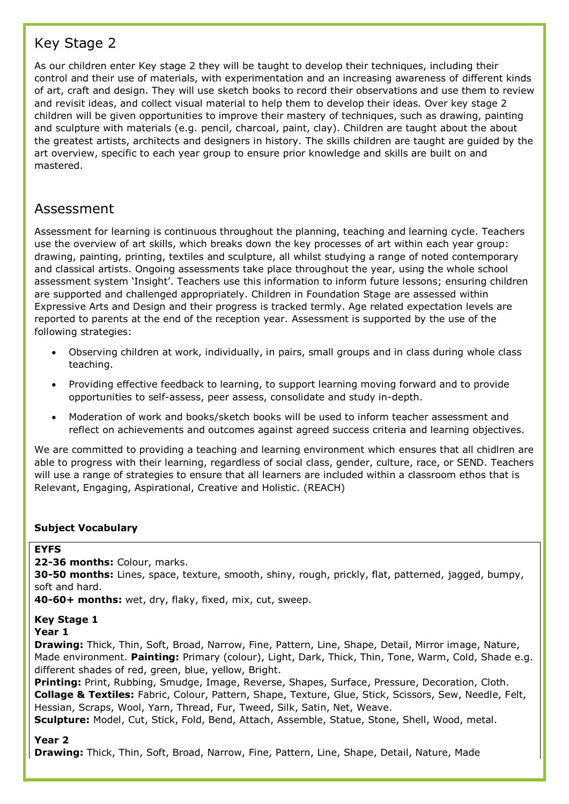# Key Stage 2

As our children enter Key stage 2 they will be taught to develop their techniques, including their control and their use of materials, with experimentation and an increasing awareness of different kinds of art, craft and design. They will use sketch books to record their observations and use them to review and revisit ideas, and collect visual material to help them to develop their ideas. Over key stage 2 children will be given opportunities to improve their mastery of techniques, such as drawing, painting and sculpture with materials (e.g. pencil, charcoal, paint, clay). Children are taught about the about the greatest artists, architects and designers in history. The skills children are taught are guided by the art overview, specific to each year group to ensure prior knowledge and skills are built on and mastered.

### Assessment

Assessment for learning is continuous throughout the planning, teaching and learning cycle. Teachers use the overview of art skills, which breaks down the key processes of art within each year group: drawing, painting, printing, textiles and sculpture, all whilst studying a range of noted contemporary and classical artists. Ongoing assessments take place throughout the year, using the whole school assessment system 'Insight'. Teachers use this information to inform future lessons; ensuring children are supported and challenged appropriately. Children in Foundation Stage are assessed within Expressive Arts and Design and their progress is tracked termly. Age related expectation levels are reported to parents at the end of the reception year. Assessment is supported by the use of the following strategies:

- Observing children at work, individually, in pairs, small groups and in class during whole class teaching.
- Providing effective feedback to learning, to support learning moving forward and to provide opportunities to self-assess, peer assess, consolidate and study in-depth.
- Moderation of work and books/sketch books will be used to inform teacher assessment and reflect on achievements and outcomes against agreed success criteria and learning objectives.

We are committed to providing a teaching and learning environment which ensures that all chidlren are able to progress with their learning, regardless of social class, gender, culture, race, or SEND. Teachers will use a range of strategies to ensure that all learners are included within a classroom ethos that is Relevant, Engaging, Aspirational, Creative and Holistic. (REACH)

### **Subject Vocabulary**

#### **EYFS**

**22-36 months:** Colour, marks.

**30-50 months:** Lines, space, texture, smooth, shiny, rough, prickly, flat, patterned, jagged, bumpy, soft and hard.

**40-60+ months:** wet, dry, flaky, fixed, mix, cut, sweep.

# **Key Stage 1**

#### **Year 1**

**Drawing:** Thick, Thin, Soft, Broad, Narrow, Fine, Pattern, Line, Shape, Detail, Mirror image, Nature, Made environment. **Painting:** Primary (colour), Light, Dark, Thick, Thin, Tone, Warm, Cold, Shade e.g. different shades of red, green, blue, yellow, Bright.

**Printing:** Print, Rubbing, Smudge, Image, Reverse, Shapes, Surface, Pressure, Decoration, Cloth. **Collage & Textiles:** Fabric, Colour, Pattern, Shape, Texture, Glue, Stick, Scissors, Sew, Needle, Felt, Hessian, Scraps, Wool, Yarn, Thread, Fur, Tweed, Silk, Satin, Net, Weave.

**Sculpture:** Model, Cut, Stick, Fold, Bend, Attach, Assemble, Statue, Stone, Shell, Wood, metal.

### **Year 2**

**Drawing:** Thick, Thin, Soft, Broad, Narrow, Fine, Pattern, Line, Shape, Detail, Nature, Made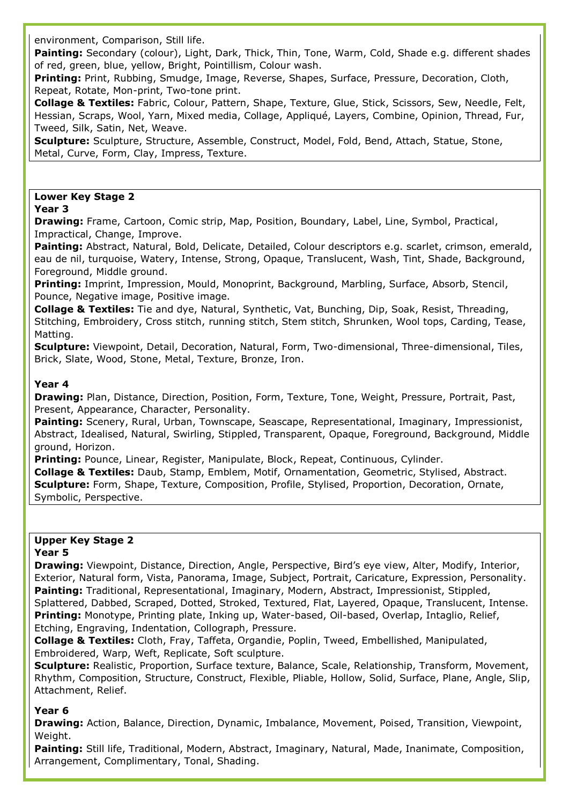environment, Comparison, Still life.

**Painting:** Secondary (colour), Light, Dark, Thick, Thin, Tone, Warm, Cold, Shade e.g. different shades of red, green, blue, yellow, Bright, Pointillism, Colour wash.

**Printing:** Print, Rubbing, Smudge, Image, Reverse, Shapes, Surface, Pressure, Decoration, Cloth, Repeat, Rotate, Mon-print, Two-tone print.

**Collage & Textiles:** Fabric, Colour, Pattern, Shape, Texture, Glue, Stick, Scissors, Sew, Needle, Felt, Hessian, Scraps, Wool, Yarn, Mixed media, Collage, Appliqué, Layers, Combine, Opinion, Thread, Fur, Tweed, Silk, Satin, Net, Weave.

**Sculpture:** Sculpture, Structure, Assemble, Construct, Model, Fold, Bend, Attach, Statue, Stone, Metal, Curve, Form, Clay, Impress, Texture.

#### **Lower Key Stage 2**

#### **Year 3**

**Drawing:** Frame, Cartoon, Comic strip, Map, Position, Boundary, Label, Line, Symbol, Practical, Impractical, Change, Improve.

**Painting:** Abstract, Natural, Bold, Delicate, Detailed, Colour descriptors e.g. scarlet, crimson, emerald, eau de nil, turquoise, Watery, Intense, Strong, Opaque, Translucent, Wash, Tint, Shade, Background, Foreground, Middle ground.

**Printing:** Imprint, Impression, Mould, Monoprint, Background, Marbling, Surface, Absorb, Stencil, Pounce, Negative image, Positive image.

**Collage & Textiles:** Tie and dye, Natural, Synthetic, Vat, Bunching, Dip, Soak, Resist, Threading, Stitching, Embroidery, Cross stitch, running stitch, Stem stitch, Shrunken, Wool tops, Carding, Tease, Matting.

**Sculpture:** Viewpoint, Detail, Decoration, Natural, Form, Two-dimensional, Three-dimensional, Tiles, Brick, Slate, Wood, Stone, Metal, Texture, Bronze, Iron.

#### **Year 4**

**Drawing:** Plan, Distance, Direction, Position, Form, Texture, Tone, Weight, Pressure, Portrait, Past, Present, Appearance, Character, Personality.

**Painting:** Scenery, Rural, Urban, Townscape, Seascape, Representational, Imaginary, Impressionist, Abstract, Idealised, Natural, Swirling, Stippled, Transparent, Opaque, Foreground, Background, Middle ground, Horizon.

**Printing:** Pounce, Linear, Register, Manipulate, Block, Repeat, Continuous, Cylinder. **Collage & Textiles:** Daub, Stamp, Emblem, Motif, Ornamentation, Geometric, Stylised, Abstract. **Sculpture:** Form, Shape, Texture, Composition, Profile, Stylised, Proportion, Decoration, Ornate, Symbolic, Perspective.

#### **Upper Key Stage 2 Year 5**

**Drawing:** Viewpoint, Distance, Direction, Angle, Perspective, Bird's eye view, Alter, Modify, Interior, Exterior, Natural form, Vista, Panorama, Image, Subject, Portrait, Caricature, Expression, Personality. **Painting:** Traditional, Representational, Imaginary, Modern, Abstract, Impressionist, Stippled, Splattered, Dabbed, Scraped, Dotted, Stroked, Textured, Flat, Layered, Opaque, Translucent, Intense. **Printing:** Monotype, Printing plate, Inking up, Water-based, Oil-based, Overlap, Intaglio, Relief, Etching, Engraving, Indentation, Collograph, Pressure.

**Collage & Textiles:** Cloth, Fray, Taffeta, Organdie, Poplin, Tweed, Embellished, Manipulated, Embroidered, Warp, Weft, Replicate, Soft sculpture.

**Sculpture:** Realistic, Proportion, Surface texture, Balance, Scale, Relationship, Transform, Movement, Rhythm, Composition, Structure, Construct, Flexible, Pliable, Hollow, Solid, Surface, Plane, Angle, Slip, Attachment, Relief.

#### **Year 6**

**Drawing:** Action, Balance, Direction, Dynamic, Imbalance, Movement, Poised, Transition, Viewpoint, Weight.

**Painting:** Still life, Traditional, Modern, Abstract, Imaginary, Natural, Made, Inanimate, Composition, Arrangement, Complimentary, Tonal, Shading.